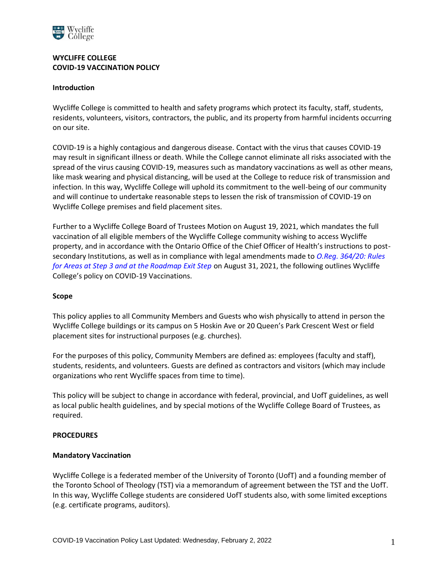

# **WYCLIFFE COLLEGE COVID-19 VACCINATION POLICY**

### **Introduction**

Wycliffe College is committed to health and safety programs which protect its faculty, staff, students, residents, volunteers, visitors, contractors, the public, and its property from harmful incidents occurring on our site.

COVID-19 is a highly contagious and dangerous disease. Contact with the virus that causes COVID-19 may result in significant illness or death. While the College cannot eliminate all risks associated with the spread of the virus causing COVID-19, measures such as mandatory vaccinations as well as other means, like mask wearing and physical distancing, will be used at the College to reduce risk of transmission and infection. In this way, Wycliffe College will uphold its commitment to the well-being of our community and will continue to undertake reasonable steps to lessen the risk of transmission of COVID-19 on Wycliffe College premises and field placement sites.

Further to a Wycliffe College Board of Trustees Motion on August 19, 2021, which mandates the full vaccination of all eligible members of the Wycliffe College community wishing to access Wycliffe property, and in accordance with the Ontario Office of the Chief Officer of Health's instructions to postsecondary Institutions, as well as in compliance with legal amendments made to *O.Reg. 364/20: Rules for Areas at Step 3 and at the Roadmap Exit Step* on August 31, 2021, the following outlines Wycliffe College's policy on COVID-19 Vaccinations.

#### **Scope**

This policy applies to all Community Members and Guests who wish physically to attend in person the Wycliffe College buildings or its campus on 5 Hoskin Ave or 20 Queen's Park Crescent West or field placement sites for instructional purposes (e.g. churches).

For the purposes of this policy, Community Members are defined as: employees (faculty and staff), students, residents, and volunteers. Guests are defined as contractors and visitors (which may include organizations who rent Wycliffe spaces from time to time).

This policy will be subject to change in accordance with federal, provincial, and UofT guidelines, as well as local public health guidelines, and by special motions of the Wycliffe College Board of Trustees, as required.

#### **PROCEDURES**

# **Mandatory Vaccination**

Wycliffe College is a federated member of the University of Toronto (UofT) and a founding member of the Toronto School of Theology (TST) via a memorandum of agreement between the TST and the UofT. In this way, Wycliffe College students are considered UofT students also, with some limited exceptions (e.g. certificate programs, auditors).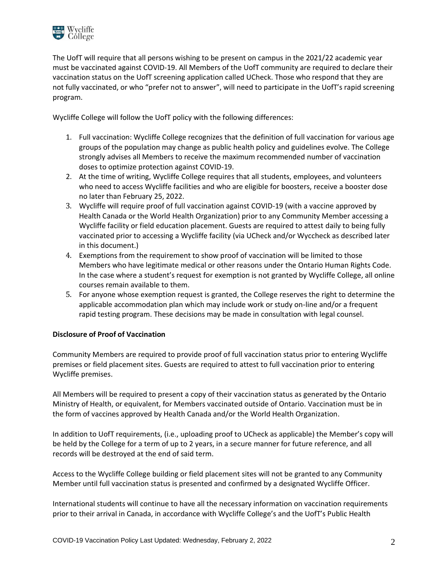

The UofT will require that all persons wishing to be present on campus in the 2021/22 academic year must be vaccinated against COVID-19. All Members of the UofT community are required to declare their vaccination status on the UofT screening application called UCheck. Those who respond that they are not fully vaccinated, or who "prefer not to answer", will need to participate in the UofT's rapid screening program.

Wycliffe College will follow the UofT policy with the following differences:

- 1. Full vaccination: Wycliffe College recognizes that the definition of full vaccination for various age groups of the population may change as public health policy and guidelines evolve. The College strongly advises all Members to receive the maximum recommended number of vaccination doses to optimize protection against COVID-19.
- 2. At the time of writing, Wycliffe College requires that all students, employees, and volunteers who need to access Wycliffe facilities and who are eligible for boosters, receive a booster dose no later than February 25, 2022.
- 3. Wycliffe will require proof of full vaccination against COVID-19 (with a vaccine approved by Health Canada or the World Health Organization) prior to any Community Member accessing a Wycliffe facility or field education placement. Guests are required to attest daily to being fully vaccinated prior to accessing a Wycliffe facility (via UCheck and/or Wyccheck as described later in this document.)
- 4. Exemptions from the requirement to show proof of vaccination will be limited to those Members who have legitimate medical or other reasons under the Ontario Human Rights Code. In the case where a student's request for exemption is not granted by Wycliffe College, all online courses remain available to them.
- 5. For anyone whose exemption request is granted, the College reserves the right to determine the applicable accommodation plan which may include work or study on-line and/or a frequent rapid testing program. These decisions may be made in consultation with legal counsel.

# **Disclosure of Proof of Vaccination**

Community Members are required to provide proof of full vaccination status prior to entering Wycliffe premises or field placement sites. Guests are required to attest to full vaccination prior to entering Wycliffe premises.

All Members will be required to present a copy of their vaccination status as generated by the Ontario Ministry of Health, or equivalent, for Members vaccinated outside of Ontario. Vaccination must be in the form of vaccines approved by Health Canada and/or the World Health Organization.

In addition to UofT requirements, (i.e., uploading proof to UCheck as applicable) the Member's copy will be held by the College for a term of up to 2 years, in a secure manner for future reference, and all records will be destroyed at the end of said term.

Access to the Wycliffe College building or field placement sites will not be granted to any Community Member until full vaccination status is presented and confirmed by a designated Wycliffe Officer.

International students will continue to have all the necessary information on vaccination requirements prior to their arrival in Canada, in accordance with Wycliffe College's and the UofT's Public Health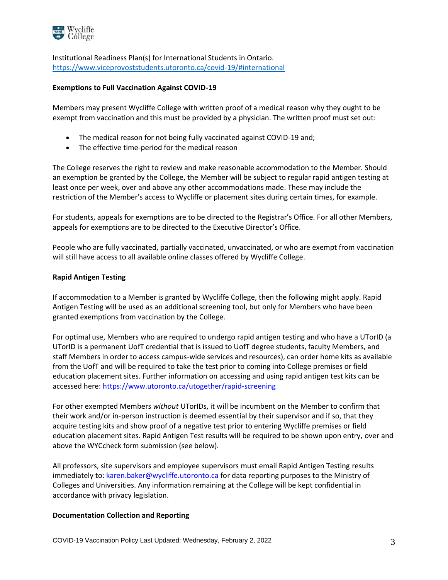

Institutional Readiness Plan(s) for International Students in Ontario. <https://www.viceprovoststudents.utoronto.ca/covid-19/#international>

### **Exemptions to Full Vaccination Against COVID-19**

Members may present Wycliffe College with written proof of a medical reason why they ought to be exempt from vaccination and this must be provided by a physician. The written proof must set out:

- The medical reason for not being fully vaccinated against COVID-19 and;
- The effective time-period for the medical reason

The College reserves the right to review and make reasonable accommodation to the Member. Should an exemption be granted by the College, the Member will be subject to regular rapid antigen testing at least once per week, over and above any other accommodations made. These may include the restriction of the Member's access to Wycliffe or placement sites during certain times, for example.

For students, appeals for exemptions are to be directed to the Registrar's Office. For all other Members, appeals for exemptions are to be directed to the Executive Director's Office.

People who are fully vaccinated, partially vaccinated, unvaccinated, or who are exempt from vaccination will still have access to all available online classes offered by Wycliffe College.

#### **Rapid Antigen Testing**

If accommodation to a Member is granted by Wycliffe College, then the following might apply. Rapid Antigen Testing will be used as an additional screening tool, but only for Members who have been granted exemptions from vaccination by the College.

For optimal use, Members who are required to undergo rapid antigen testing and who have a UTorID (a UTorID is a permanent UofT credential that is issued to UofT degree students, faculty Members, and staff Members in order to access campus-wide services and resources), can order home kits as available from the UofT and will be required to take the test prior to coming into College premises or field education placement sites. Further information on accessing and using rapid antigen test kits can be accessed here: https://www.utoronto.ca/utogether/rapid-screening

For other exempted Members *without* UTorIDs, it will be incumbent on the Member to confirm that their work and/or in-person instruction is deemed essential by their supervisor and if so, that they acquire testing kits and show proof of a negative test prior to entering Wycliffe premises or field education placement sites. Rapid Antigen Test results will be required to be shown upon entry, over and above the WYCcheck form submission (see below).

All professors, site supervisors and employee supervisors must email Rapid Antigen Testing results immediately to: karen.baker@wycliffe.utoronto.ca for data reporting purposes to the Ministry of Colleges and Universities. Any information remaining at the College will be kept confidential in accordance with privacy legislation.

#### **Documentation Collection and Reporting**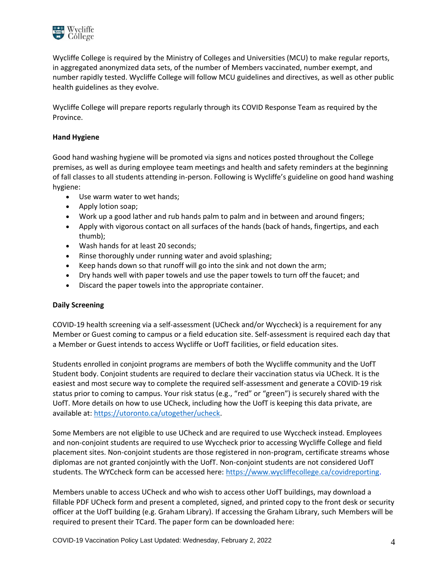

Wycliffe College is required by the Ministry of Colleges and Universities (MCU) to make regular reports, in aggregated anonymized data sets, of the number of Members vaccinated, number exempt, and number rapidly tested. Wycliffe College will follow MCU guidelines and directives, as well as other public health guidelines as they evolve.

Wycliffe College will prepare reports regularly through its COVID Response Team as required by the Province.

# **Hand Hygiene**

Good hand washing hygiene will be promoted via signs and notices posted throughout the College premises, as well as during employee team meetings and health and safety reminders at the beginning of fall classes to all students attending in-person. Following is Wycliffe's guideline on good hand washing hygiene:

- Use warm water to wet hands;
- Apply lotion soap;
- Work up a good lather and rub hands palm to palm and in between and around fingers;
- Apply with vigorous contact on all surfaces of the hands (back of hands, fingertips, and each thumb);
- Wash hands for at least 20 seconds;
- Rinse thoroughly under running water and avoid splashing;
- Keep hands down so that runoff will go into the sink and not down the arm;
- Dry hands well with paper towels and use the paper towels to turn off the faucet; and
- Discard the paper towels into the appropriate container.

# **Daily Screening**

COVID-19 health screening via a self-assessment (UCheck and/or Wyccheck) is a requirement for any Member or Guest coming to campus or a field education site. Self-assessment is required each day that a Member or Guest intends to access Wycliffe or UofT facilities, or field education sites.

Students enrolled in conjoint programs are members of both the Wycliffe community and the UofT Student body. Conjoint students are required to declare their vaccination status via UCheck. It is the easiest and most secure way to complete the required self-assessment and generate a COVID-19 risk status prior to coming to campus. Your risk status (e.g., "red" or "green") is securely shared with the UofT. More details on how to use UCheck, including how the UofT is keeping this data private, are available at: [https://utoronto.ca/utogether/ucheck.](https://utoronto.ca/utogether/ucheck)

Some Members are not eligible to use UCheck and are required to use Wyccheck instead. Employees and non-conjoint students are required to use Wyccheck prior to accessing Wycliffe College and field placement sites. Non-conjoint students are those registered in non-program, certificate streams whose diplomas are not granted conjointly with the UofT. Non-conjoint students are not considered UofT students. The WYCcheck form can be accessed here: [https://www.wycliffecollege.ca/covidreporting.](https://www.wycliffecollege.ca/covidreporting)

Members unable to access UCheck and who wish to access other UofT buildings, may download a fillable PDF UCheck form and present a completed, signed, and printed copy to the front desk or security officer at the UofT building (e.g. Graham Library). If accessing the Graham Library, such Members will be required to present their TCard. The paper form can be downloaded here: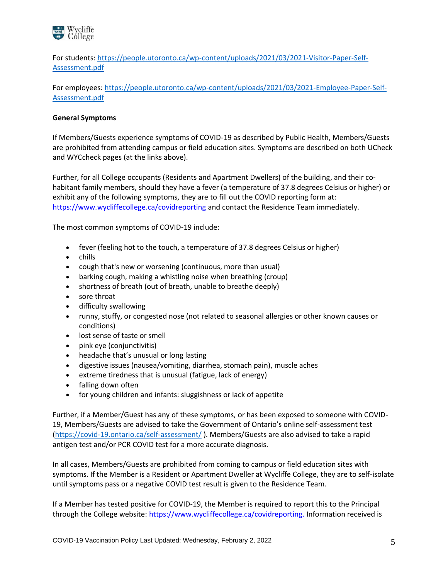

For students: [https://people.utoronto.ca/wp-content/uploads/2021/03/2021-Visitor-Paper-Self-](https://people.utoronto.ca/wp-content/uploads/2021/03/2021-Visitor-Paper-Self-Assessment.pdf)[Assessment.pdf](https://people.utoronto.ca/wp-content/uploads/2021/03/2021-Visitor-Paper-Self-Assessment.pdf)

For employees: [https://people.utoronto.ca/wp-content/uploads/2021/03/2021-Employee-Paper-Self-](https://people.utoronto.ca/wp-content/uploads/2021/03/2021-Employee-Paper-Self-Assessment.pdf)[Assessment.pdf](https://people.utoronto.ca/wp-content/uploads/2021/03/2021-Employee-Paper-Self-Assessment.pdf)

### **General Symptoms**

If Members/Guests experience symptoms of COVID-19 as described by Public Health, Members/Guests are prohibited from attending campus or field education sites. Symptoms are described on both UCheck and WYCcheck pages (at the links above).

Further, for all College occupants (Residents and Apartment Dwellers) of the building, and their cohabitant family members, should they have a fever (a temperature of 37.8 degrees Celsius or higher) or exhibit any of the following symptoms, they are to fill out the COVID reporting form at: https://www.wycliffecollege.ca/covidreporting and contact the Residence Team immediately.

The most common symptoms of COVID-19 include:

- fever (feeling hot to the touch, a temperature of 37.8 degrees Celsius or higher)
- chills
- cough that's new or worsening (continuous, more than usual)
- barking cough, making a whistling noise when breathing (croup)
- shortness of breath (out of breath, unable to breathe deeply)
- sore throat
- difficulty swallowing
- runny, stuffy, or congested nose (not related to seasonal allergies or other known causes or conditions)
- lost sense of taste or smell
- pink eye (conjunctivitis)
- headache that's unusual or long lasting
- digestive issues (nausea/vomiting, diarrhea, stomach pain), muscle aches
- extreme tiredness that is unusual (fatigue, lack of energy)
- falling down often
- for young children and infants: sluggishness or lack of appetite

Further, if a Member/Guest has any of these symptoms, or has been exposed to someone with COVID-19, Members/Guests are advised to take the Government of Ontario's online self-assessment test [\(https://covid-19.ontario.ca/self-assessment/](https://covid-19.ontario.ca/self-assessment/) ). Members/Guests are also advised to take a rapid antigen test and/or PCR COVID test for a more accurate diagnosis.

In all cases, Members/Guests are prohibited from coming to campus or field education sites with symptoms. If the Member is a Resident or Apartment Dweller at Wycliffe College, they are to self-isolate until symptoms pass or a negative COVID test result is given to the Residence Team.

If a Member has tested positive for COVID-19, the Member is required to report this to the Principal through the College website: https://www.wycliffecollege.ca/covidreporting. Information received is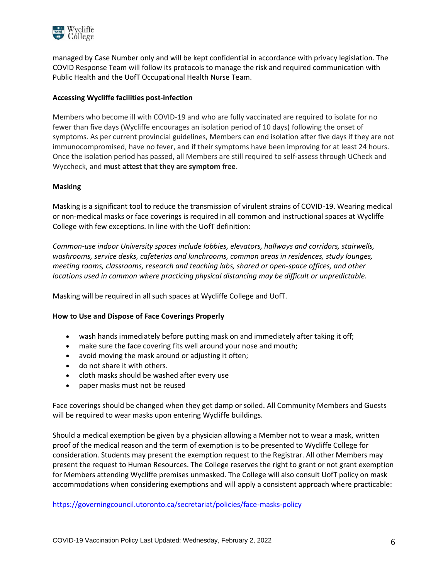

managed by Case Number only and will be kept confidential in accordance with privacy legislation. The COVID Response Team will follow its protocols to manage the risk and required communication with Public Health and the UofT Occupational Health Nurse Team.

# **Accessing Wycliffe facilities post-infection**

Members who become ill with COVID-19 and who are fully vaccinated are required to isolate for no fewer than five days (Wycliffe encourages an isolation period of 10 days) following the onset of symptoms. As per current provincial guidelines, Members can end isolation after five days if they are not immunocompromised, have no fever, and if their symptoms have been improving for at least 24 hours. Once the isolation period has passed, all Members are still required to self-assess through UCheck and Wyccheck, and **must attest that they are symptom free**.

### **Masking**

Masking is a significant tool to reduce the transmission of virulent strains of COVID-19. Wearing medical or non-medical masks or face coverings is required in all common and instructional spaces at Wycliffe College with few exceptions. In line with the UofT definition:

*Common-use indoor University spaces include lobbies, elevators, hallways and corridors, stairwells, washrooms, service desks, cafeterias and lunchrooms, common areas in residences, study lounges, meeting rooms, classrooms, research and teaching labs, shared or open-space offices, and other locations used in common where practicing physical distancing may be difficult or unpredictable.* 

Masking will be required in all such spaces at Wycliffe College and UofT.

#### **How to Use and Dispose of Face Coverings Properly**

- wash hands immediately before putting mask on and immediately after taking it off;
- make sure the face covering fits well around your nose and mouth;
- avoid moving the mask around or adjusting it often;
- do not share it with others.
- cloth masks should be washed after every use
- paper masks must not be reused

Face coverings should be changed when they get damp or soiled. All Community Members and Guests will be required to wear masks upon entering Wycliffe buildings.

Should a medical exemption be given by a physician allowing a Member not to wear a mask, written proof of the medical reason and the term of exemption is to be presented to Wycliffe College for consideration. Students may present the exemption request to the Registrar. All other Members may present the request to Human Resources. The College reserves the right to grant or not grant exemption for Members attending Wycliffe premises unmasked. The College will also consult UofT policy on mask accommodations when considering exemptions and will apply a consistent approach where practicable:

### https://governingcouncil.utoronto.ca/secretariat/policies/face-masks-policy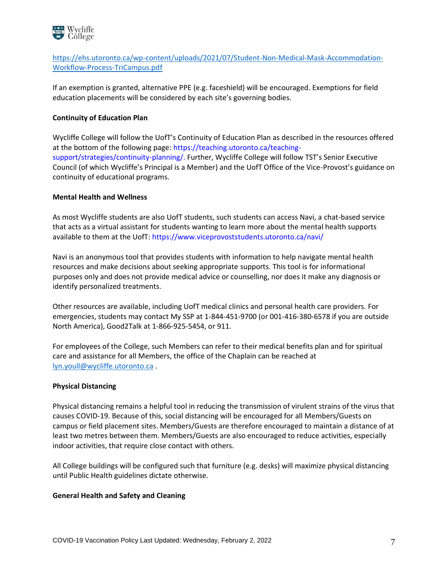

[https://ehs.utoronto.ca/wp-content/uploads/2021/07/Student-Non-Medical-Mask-Accommodation-](https://ehs.utoronto.ca/wp-content/uploads/2021/07/Student-Non-Medical-Mask-Accommodation-Workflow-Process-TriCampus.pdf)[Workflow-Process-TriCampus.pdf](https://ehs.utoronto.ca/wp-content/uploads/2021/07/Student-Non-Medical-Mask-Accommodation-Workflow-Process-TriCampus.pdf)

If an exemption is granted, alternative PPE (e.g. faceshield) will be encouraged. Exemptions for field education placements will be considered by each site's governing bodies.

# **Continuity of Education Plan**

Wycliffe College will follow the UofT's Continuity of Education Plan as described in the resources offered at the bottom of the following page: https://teaching.utoronto.ca/teachingsupport/strategies/continuity-planning/. Further, Wycliffe College will follow TST's Senior Executive Council (of which Wycliffe's Principal is a Member) and the UofT Office of the Vice-Provost's guidance on continuity of educational programs.

### **Mental Health and Wellness**

As most Wycliffe students are also UofT students, such students can access Navi, a chat-based service that acts as a virtual assistant for students wanting to learn more about the mental health supports available to them at the UofT: https://www.viceprovoststudents.utoronto.ca/navi/

Navi is an anonymous tool that provides students with information to help navigate mental health resources and make decisions about seeking appropriate supports. This tool is for informational purposes only and does not provide medical advice or counselling, nor does it make any diagnosis or identify personalized treatments.

Other resources are available, including UofT medical clinics and personal health care providers. For emergencies, students may contact My SSP at 1-844-451-9700 (or 001-416-380-6578 if you are outside North America), Good2Talk at 1-866-925-5454, or 911.

For employees of the College, such Members can refer to their medical benefits plan and for spiritual care and assistance for all Members, the office of the Chaplain can be reached at [lyn.youll@wycliffe.utoronto.ca](mailto:lyn.youll@wycliffe.utoronto.ca) .

#### **Physical Distancing**

Physical distancing remains a helpful tool in reducing the transmission of virulent strains of the virus that causes COVID-19. Because of this, social distancing will be encouraged for all Members/Guests on campus or field placement sites. Members/Guests are therefore encouraged to maintain a distance of at least two metres between them. Members/Guests are also encouraged to reduce activities, especially indoor activities, that require close contact with others.

All College buildings will be configured such that furniture (e.g. desks) will maximize physical distancing until Public Health guidelines dictate otherwise.

#### **General Health and Safety and Cleaning**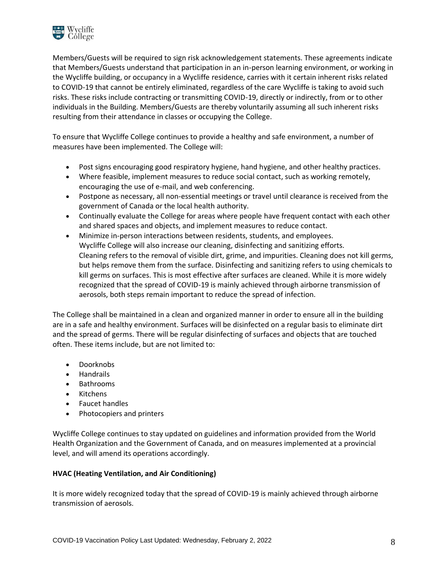

Members/Guests will be required to sign risk acknowledgement statements. These agreements indicate that Members/Guests understand that participation in an in-person learning environment, or working in the Wycliffe building, or occupancy in a Wycliffe residence, carries with it certain inherent risks related to COVID-19 that cannot be entirely eliminated, regardless of the care Wycliffe is taking to avoid such risks. These risks include contracting or transmitting COVID-19, directly or indirectly, from or to other individuals in the Building. Members/Guests are thereby voluntarily assuming all such inherent risks resulting from their attendance in classes or occupying the College.

To ensure that Wycliffe College continues to provide a healthy and safe environment, a number of measures have been implemented. The College will:

- Post signs encouraging good respiratory hygiene, hand hygiene, and other healthy practices.
- Where feasible, implement measures to reduce social contact, such as working remotely, encouraging the use of e-mail, and web conferencing.
- Postpone as necessary, all non-essential meetings or travel until clearance is received from the government of Canada or the local health authority.
- Continually evaluate the College for areas where people have frequent contact with each other and shared spaces and objects, and implement measures to reduce contact.
- Minimize in-person interactions between residents, students, and employees. Wycliffe College will also increase our cleaning, disinfecting and sanitizing efforts. Cleaning refers to the removal of visible dirt, grime, and impurities. Cleaning does not kill germs, but helps remove them from the surface. Disinfecting and sanitizing refers to using chemicals to kill germs on surfaces. This is most effective after surfaces are cleaned. While it is more widely recognized that the spread of COVID-19 is mainly achieved through airborne transmission of aerosols, both steps remain important to reduce the spread of infection.

The College shall be maintained in a clean and organized manner in order to ensure all in the building are in a safe and healthy environment. Surfaces will be disinfected on a regular basis to eliminate dirt and the spread of germs. There will be regular disinfecting of surfaces and objects that are touched often. These items include, but are not limited to:

- Doorknobs
- Handrails
- Bathrooms
- Kitchens
- Faucet handles
- Photocopiers and printers

Wycliffe College continues to stay updated on guidelines and information provided from the World Health Organization and the Government of Canada, and on measures implemented at a provincial level, and will amend its operations accordingly.

# **HVAC (Heating Ventilation, and Air Conditioning)**

It is more widely recognized today that the spread of COVID-19 is mainly achieved through airborne transmission of aerosols.